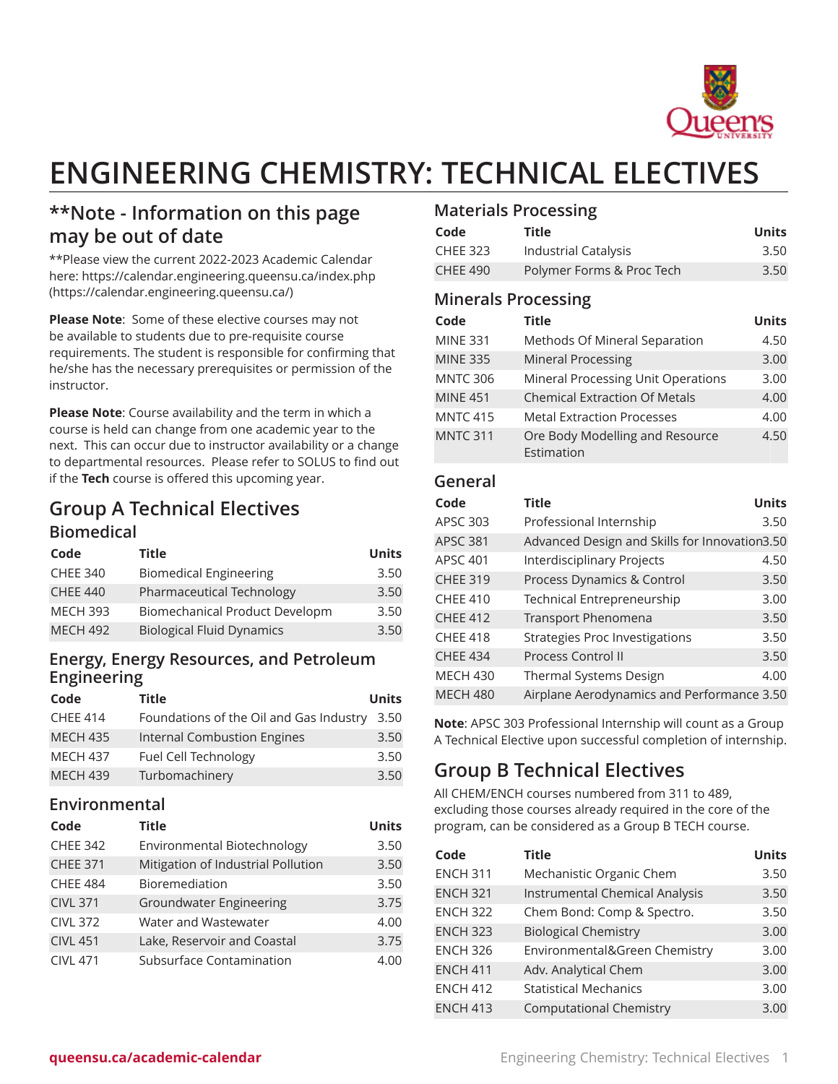

# **ENGINEERING CHEMISTRY: TECHNICAL ELECTIVES**

### **\*\*Note - Information on this page may be out of date**

\*\*Please view the current 2022-2023 Academic Calendar here: [https://calendar.engineering.queensu.ca/index.php](https://calendar.engineering.queensu.ca/) ([https://calendar.engineering.queensu.ca/\)](https://calendar.engineering.queensu.ca/)

**Please Note**: Some of these elective courses may not be available to students due to pre-requisite course requirements. The student is responsible for confirming that he/she has the necessary prerequisites or permission of the instructor.

**Please Note**: Course availability and the term in which a course is held can change from one academic year to the next. This can occur due to instructor availability or a change to departmental resources. Please refer to SOLUS to find out if the **Tech** course is offered this upcoming year.

## **Group A Technical Electives**

#### **Biomedical**

| Code            | <b>Title</b>                     | <b>Units</b> |
|-----------------|----------------------------------|--------------|
| <b>CHEE 340</b> | <b>Biomedical Engineering</b>    | 3.50         |
| <b>CHEE 440</b> | Pharmaceutical Technology        | 3.50         |
| <b>MECH 393</b> | Biomechanical Product Developm   | 3.50         |
| <b>MECH 492</b> | <b>Biological Fluid Dynamics</b> | 3.50         |

#### **Energy, Energy Resources, and Petroleum Engineering**

| Code            | Title                                        | <b>Units</b> |
|-----------------|----------------------------------------------|--------------|
| <b>CHEE 414</b> | Foundations of the Oil and Gas Industry 3.50 |              |
| <b>MECH 435</b> | Internal Combustion Engines                  | 3.50         |
| <b>MECH 437</b> | Fuel Cell Technology                         | 3.50         |
| <b>MECH 439</b> | Turbomachinery                               | 3.50         |

#### **Environmental**

| Code            | <b>Title</b>                       | <b>Units</b> |
|-----------------|------------------------------------|--------------|
| <b>CHEE 342</b> | Environmental Biotechnology        | 3.50         |
| <b>CHEE 371</b> | Mitigation of Industrial Pollution | 3.50         |
| <b>CHEE 484</b> | <b>Bioremediation</b>              | 3.50         |
| <b>CIVL 371</b> | <b>Groundwater Engineering</b>     | 3.75         |
| <b>CIVL 372</b> | Water and Wastewater               | 4.00         |
| <b>CIVL 451</b> | Lake, Reservoir and Coastal        | 3.75         |
| <b>CIVL 471</b> | Subsurface Contamination           | 4.00         |

#### **Materials Processing**

| Code            | Title                     | Units |
|-----------------|---------------------------|-------|
| <b>CHEE 323</b> | Industrial Catalysis      | 3.50  |
| <b>CHEE 490</b> | Polymer Forms & Proc Tech | 3.50  |

#### **Minerals Processing**

| Code            | <b>Title</b>                                  | <b>Units</b> |
|-----------------|-----------------------------------------------|--------------|
| <b>MINE 331</b> | Methods Of Mineral Separation                 | 4.50         |
| <b>MINE 335</b> | <b>Mineral Processing</b>                     | 3.00         |
| <b>MNTC 306</b> | Mineral Processing Unit Operations            | 3.00         |
| <b>MINE 451</b> | <b>Chemical Extraction Of Metals</b>          | 4.00         |
| <b>MNTC 415</b> | <b>Metal Extraction Processes</b>             | 4.00         |
| <b>MNTC 311</b> | Ore Body Modelling and Resource<br>Estimation | 4.50         |

#### **General**

| Code            | <b>Title</b>                                  | <b>Units</b> |
|-----------------|-----------------------------------------------|--------------|
| APSC 303        | Professional Internship                       | 3.50         |
| <b>APSC 381</b> | Advanced Design and Skills for Innovation3.50 |              |
| <b>APSC 401</b> | Interdisciplinary Projects                    | 4.50         |
| <b>CHEE 319</b> | Process Dynamics & Control                    | 3.50         |
| <b>CHEE 410</b> | Technical Entrepreneurship                    | 3.00         |
| <b>CHEE 412</b> | <b>Transport Phenomena</b>                    | 3.50         |
| <b>CHEE 418</b> | <b>Strategies Proc Investigations</b>         | 3.50         |
| <b>CHEE 434</b> | <b>Process Control II</b>                     | 3.50         |
| <b>MECH 430</b> | <b>Thermal Systems Design</b>                 | 4.00         |
| <b>MECH 480</b> | Airplane Aerodynamics and Performance 3.50    |              |

**Note**: APSC 303 Professional Internship will count as a Group A Technical Elective upon successful completion of internship.

## **Group B Technical Electives**

All CHEM/ENCH courses numbered from 311 to 489, excluding those courses already required in the core of the program, can be considered as a Group B TECH course.

| Code            | <b>Title</b>                          | <b>Units</b> |
|-----------------|---------------------------------------|--------------|
| <b>ENCH 311</b> | Mechanistic Organic Chem              | 3.50         |
| <b>ENCH 321</b> | <b>Instrumental Chemical Analysis</b> | 3.50         |
| <b>ENCH 322</b> | Chem Bond: Comp & Spectro.            | 3.50         |
| <b>ENCH 323</b> | <b>Biological Chemistry</b>           | 3.00         |
| <b>ENCH 326</b> | Environmental&Green Chemistry         | 3.00         |
| <b>ENCH 411</b> | Adv. Analytical Chem                  | 3.00         |
| <b>ENCH 412</b> | <b>Statistical Mechanics</b>          | 3.00         |
| <b>ENCH 413</b> | <b>Computational Chemistry</b>        | 3.00         |